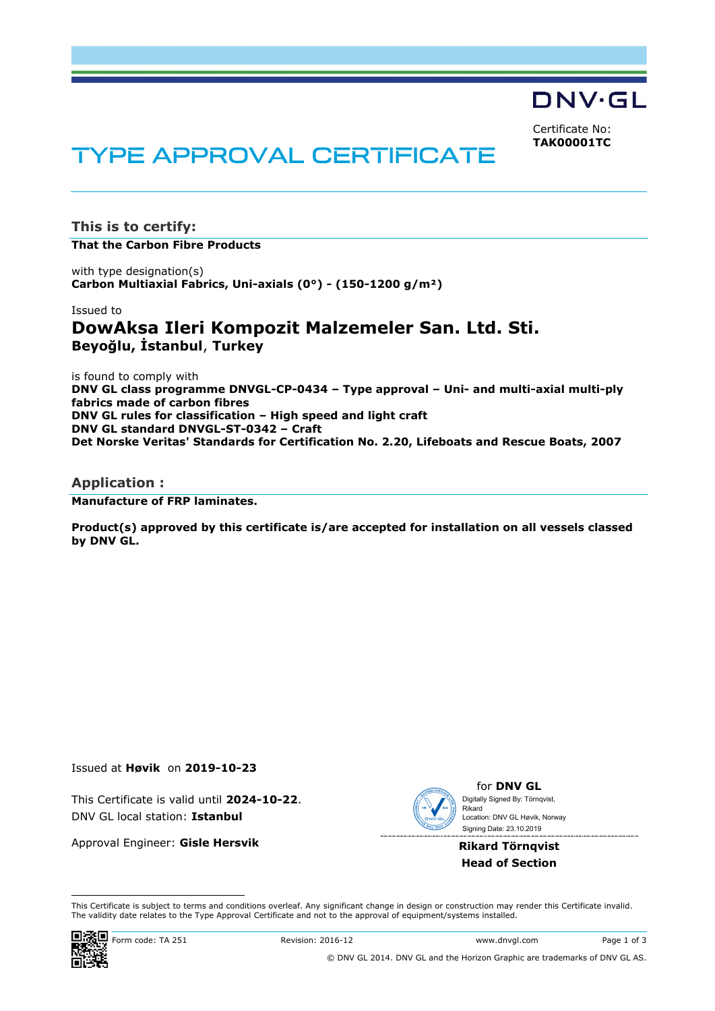DNV·GL

Certificate No: **TAK00001TC**

# **TYPE APPROVAL CERTIFICATE**

**This is to certify: That the Carbon Fibre Products**

with type designation(s) **Carbon Multiaxial Fabrics, Uni-axials (0°) - (150-1200 g/m²)**

Issued to

## **DowAksa Ileri Kompozit Malzemeler San. Ltd. Sti. Beyoğlu, İstanbul**, **Turkey**

is found to comply with **DNV GL class programme DNVGL-CP-0434 – Type approval – Uni- and multi-axial multi-ply fabrics made of carbon fibres DNV GL rules for classification – High speed and light craft DNV GL standard DNVGL-ST-0342 – Craft Det Norske Veritas' Standards for Certification No. 2.20, Lifeboats and Rescue Boats, 2007**

## **Application :**

**Manufacture of FRP laminates.**

**Product(s) approved by this certificate is/are accepted for installation on all vessels classed by DNV GL.**

Issued at **Høvik** on **2019-10-23**

This Certificate is valid until **2024-10-22**. DNV GL local station: **Istanbul**

Approval Engineer: **Gisle Hersvik**



for **DNV GL** Signing Date: 23.10.2019 Digitally Signed By: Törnqvist, Rikard Location: DNV GL Høvik, Norway

**Rikard Törnqvist Head of Section**

 This Certificate is subject to terms and conditions overleaf. Any significant change in design or construction may render this Certificate invalid. The validity date relates to the Type Approval Certificate and not to the approval of equipment/systems installed.

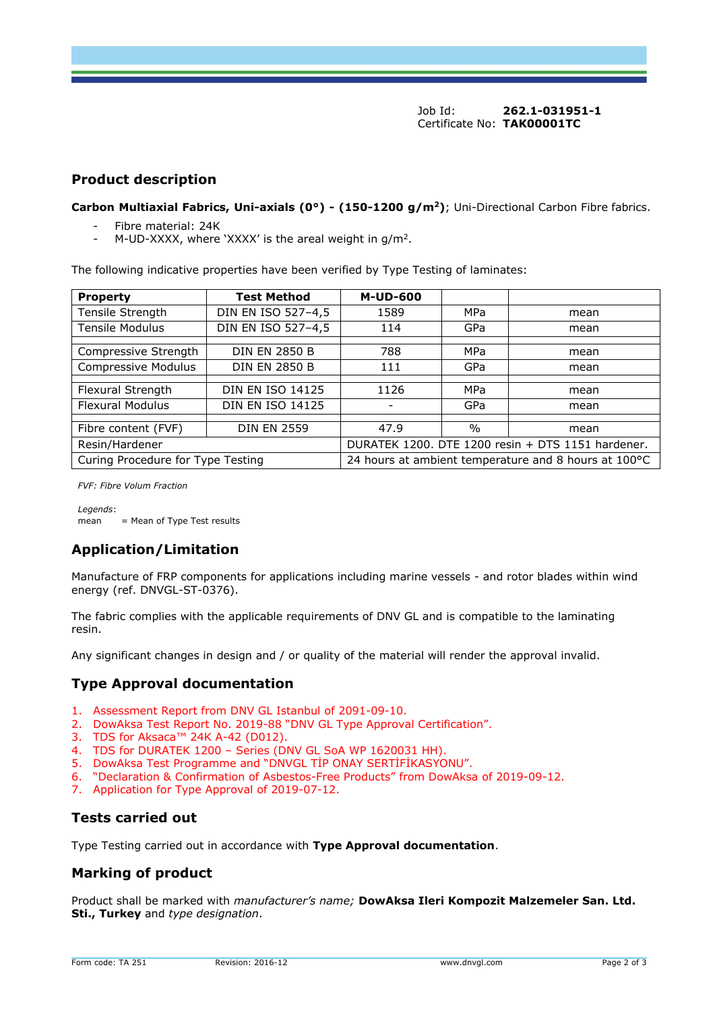## **Product description**

**Carbon Multiaxial Fabrics, Uni-axials (0°) - (150-1200 g/m<sup>2</sup>)**; Uni-Directional Carbon Fibre fabrics.

- Fibre material: 24K
- M-UD-XXXX, where 'XXXX' is the areal weight in  $g/m^2$ .

The following indicative properties have been verified by Type Testing of laminates:

| <b>Property</b>                   | <b>Test Method</b>      | <b>M-UD-600</b>                                      |               |      |
|-----------------------------------|-------------------------|------------------------------------------------------|---------------|------|
| Tensile Strength                  | DIN EN ISO 527-4,5      | 1589                                                 | MPa           | mean |
| <b>Tensile Modulus</b>            | DIN EN ISO 527-4,5      | 114                                                  | GPa           | mean |
|                                   |                         |                                                      |               |      |
| Compressive Strength              | <b>DIN EN 2850 B</b>    | 788                                                  | MPa           | mean |
| Compressive Modulus               | <b>DIN EN 2850 B</b>    | 111                                                  | GPa           | mean |
|                                   |                         |                                                      |               |      |
| Flexural Strength                 | <b>DIN EN ISO 14125</b> | 1126                                                 | MPa           | mean |
| <b>Flexural Modulus</b>           | <b>DIN EN ISO 14125</b> |                                                      | GPa           | mean |
|                                   |                         |                                                      |               |      |
| Fibre content (FVF)               | <b>DIN EN 2559</b>      | 47.9                                                 | $\frac{0}{0}$ | mean |
| Resin/Hardener                    |                         | DURATEK 1200. DTE 1200 resin + DTS 1151 hardener.    |               |      |
| Curing Procedure for Type Testing |                         | 24 hours at ambient temperature and 8 hours at 100°C |               |      |

*FVF: Fibre Volum Fraction*

*Legends*:  $mean$  = Mean of Type Test results

## **Application/Limitation**

Manufacture of FRP components for applications including marine vessels - and rotor blades within wind energy (ref. DNVGL-ST-0376).

The fabric complies with the applicable requirements of DNV GL and is compatible to the laminating resin.

Any significant changes in design and / or quality of the material will render the approval invalid.

## **Type Approval documentation**

- 1. Assessment Report from DNV GL Istanbul of 2091-09-10.
- 2. DowAksa Test Report No. 2019-88 "DNV GL Type Approval Certification".
- 3. TDS for Aksaca™ 24K A-42 (D012).
- 4. TDS for DURATEK 1200 Series (DNV GL SoA WP 1620031 HH).
- 5. DowAksa Test Programme and "DNVGL TİP ONAY SERTİFİKASYONU".
- 6. "Declaration & Confirmation of Asbestos-Free Products" from DowAksa of 2019-09-12.
- 7. Application for Type Approval of 2019-07-12.

## **Tests carried out**

Type Testing carried out in accordance with **Type Approval documentation**.

## **Marking of product**

Product shall be marked with *manufacturer's name;* **DowAksa Ileri Kompozit Malzemeler San. Ltd. Sti., Turkey** and *type designation*.